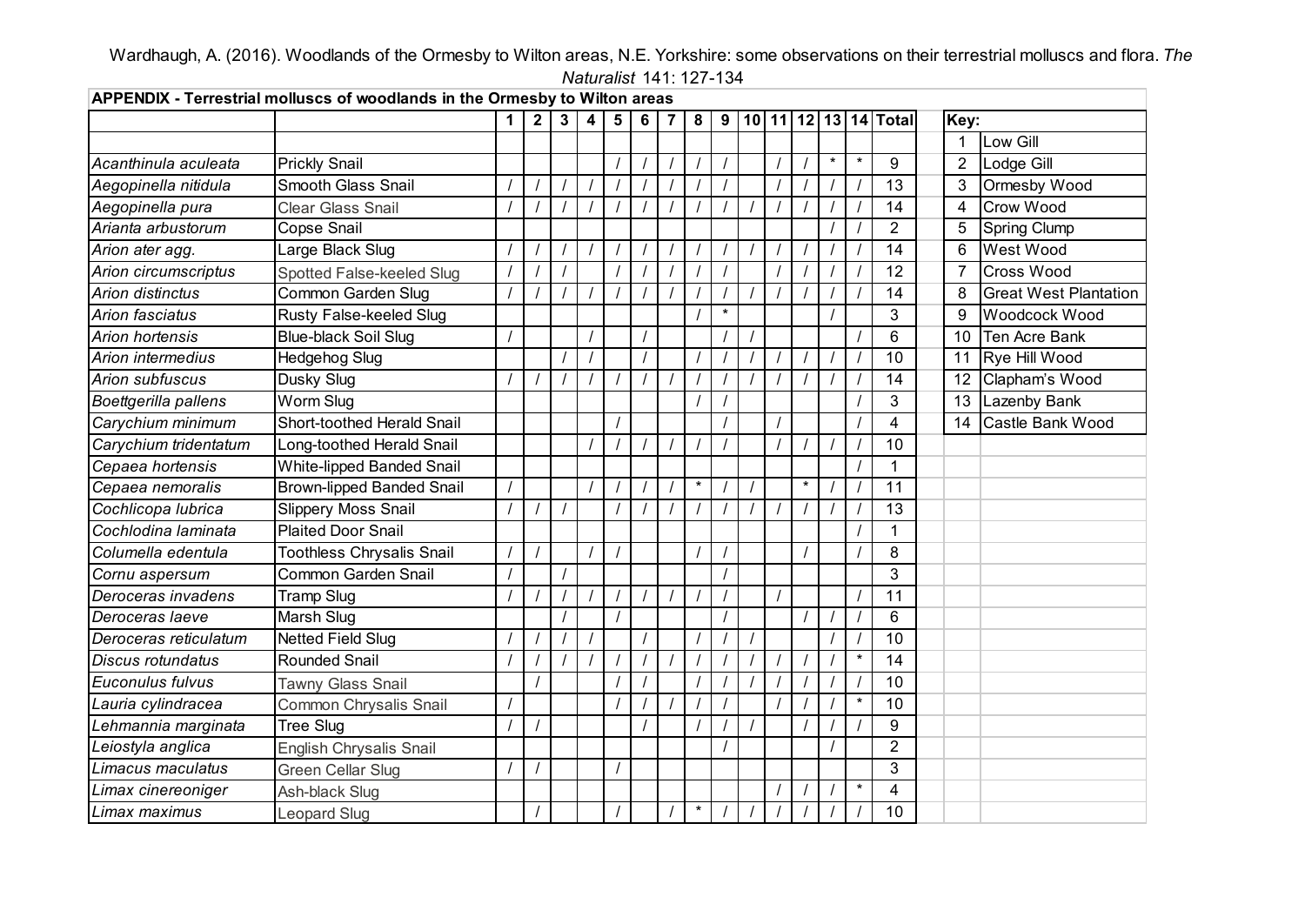Wardhaugh, A. (2016). Woodlands of the Ormesby to Wilton areas, N.E. Yorkshire: some observations on their terrestrial molluscs and flora. *The Naturalist* 141: 127-134 **APPENDIX - Terrestrial molluscs of woodlands in the Ormesby to Wilton areas**÷.

| APPENDIX - Terrestrial molluscs of woodlands in the Ormesby to Wilton areas |                                  |   |              |   |   |   |   |                |          |         |  |  |        |         |          |                                    |                |                              |  |
|-----------------------------------------------------------------------------|----------------------------------|---|--------------|---|---|---|---|----------------|----------|---------|--|--|--------|---------|----------|------------------------------------|----------------|------------------------------|--|
|                                                                             |                                  | 1 | $\mathbf{2}$ | 3 | 4 | 5 | 6 | $\overline{7}$ | 8        |         |  |  |        |         |          | 9   10   11   12   13   14   Total | Key:           |                              |  |
|                                                                             |                                  |   |              |   |   |   |   |                |          |         |  |  |        |         |          |                                    | 1              | Low Gill                     |  |
| Acanthinula aculeata                                                        | <b>Prickly Snail</b>             |   |              |   |   |   |   |                |          |         |  |  |        | $\star$ | $\star$  | 9                                  | $\overline{2}$ | Lodge Gill                   |  |
| Aegopinella nitidula                                                        | <b>Smooth Glass Snail</b>        |   |              |   |   |   |   |                |          |         |  |  |        |         |          | 13                                 | 3              | Ormesby Wood                 |  |
| Aegopinella pura                                                            | <b>Clear Glass Snail</b>         |   |              |   |   |   |   |                |          |         |  |  |        |         |          | 14                                 | 4              | <b>Crow Wood</b>             |  |
| Arianta arbustorum                                                          | <b>Copse Snail</b>               |   |              |   |   |   |   |                |          |         |  |  |        |         |          | $\overline{2}$                     | 5              | <b>Spring Clump</b>          |  |
| Arion ater agg.                                                             | Large Black Slug                 |   |              |   |   |   |   |                |          |         |  |  |        |         |          | 14                                 | 6              | <b>West Wood</b>             |  |
| Arion circumscriptus                                                        | Spotted False-keeled Slug        |   |              |   |   |   |   |                |          |         |  |  |        |         |          | 12                                 | 7              | Cross Wood                   |  |
| <b>Arion distinctus</b>                                                     | Common Garden Slug               |   |              |   |   |   |   |                |          |         |  |  |        |         |          | 14                                 | 8              | <b>Great West Plantation</b> |  |
| Arion fasciatus                                                             | Rusty False-keeled Slug          |   |              |   |   |   |   |                |          | $\star$ |  |  |        |         |          | 3                                  | 9              | Woodcock Wood                |  |
| <b>Arion hortensis</b>                                                      | <b>Blue-black Soil Slug</b>      |   |              |   |   |   |   |                |          |         |  |  |        |         |          | $6\phantom{1}$                     | 10             | <b>Ten Acre Bank</b>         |  |
| Arion intermedius                                                           | Hedgehog Slug                    |   |              |   |   |   |   |                |          |         |  |  |        |         | $\prime$ | 10                                 | 11             | Rye Hill Wood                |  |
| <b>Arion subfuscus</b>                                                      | Dusky Slug                       |   |              |   |   |   |   |                |          |         |  |  |        |         |          | 14                                 | 12             | Clapham's Wood               |  |
| Boettgerilla pallens                                                        | Worm Slug                        |   |              |   |   |   |   |                |          |         |  |  |        |         |          | 3                                  | 13             | <b>Lazenby Bank</b>          |  |
| Carychium minimum                                                           | Short-toothed Herald Snail       |   |              |   |   |   |   |                |          |         |  |  |        |         |          | 4                                  | 14             | Castle Bank Wood             |  |
| Carychium tridentatum                                                       | Long-toothed Herald Snail        |   |              |   |   |   |   |                |          |         |  |  |        |         |          | 10                                 |                |                              |  |
| Cepaea hortensis                                                            | <b>White-lipped Banded Snail</b> |   |              |   |   |   |   |                |          |         |  |  |        |         |          |                                    |                |                              |  |
| Cepaea nemoralis                                                            | <b>Brown-lipped Banded Snail</b> |   |              |   |   |   |   |                | $\star$  |         |  |  | $\ast$ |         |          | 11                                 |                |                              |  |
| Cochlicopa lubrica                                                          | <b>Slippery Moss Snail</b>       |   |              |   |   |   |   |                |          |         |  |  |        |         |          | 13                                 |                |                              |  |
| Cochlodina laminata                                                         | <b>Plaited Door Snail</b>        |   |              |   |   |   |   |                |          |         |  |  |        |         |          | 1                                  |                |                              |  |
| Columella edentula                                                          | <b>Toothless Chrysalis Snail</b> |   |              |   |   |   |   |                |          |         |  |  |        |         |          | 8                                  |                |                              |  |
| Cornu aspersum                                                              | <b>Common Garden Snail</b>       |   |              |   |   |   |   |                |          |         |  |  |        |         |          | 3                                  |                |                              |  |
| Deroceras invadens                                                          | <b>Tramp Slug</b>                |   |              |   |   |   |   |                |          |         |  |  |        |         |          | 11                                 |                |                              |  |
| Deroceras laeve                                                             | Marsh Slug                       |   |              |   |   |   |   |                |          |         |  |  |        |         |          | 6                                  |                |                              |  |
| Deroceras reticulatum                                                       | <b>Netted Field Slug</b>         |   |              |   |   |   |   |                |          |         |  |  |        |         |          | 10                                 |                |                              |  |
| <b>Discus rotundatus</b>                                                    | <b>Rounded Snail</b>             |   |              |   |   |   |   |                |          |         |  |  |        |         | $\star$  | 14                                 |                |                              |  |
| Euconulus fulvus                                                            | <b>Tawny Glass Snail</b>         |   |              |   |   |   |   |                |          |         |  |  |        |         |          | 10                                 |                |                              |  |
| Lauria cylindracea                                                          | Common Chrysalis Snail           |   |              |   |   |   |   |                |          |         |  |  |        |         | $\star$  | 10                                 |                |                              |  |
| Lehmannia marginata                                                         | <b>Tree Slug</b>                 |   |              |   |   |   |   |                |          |         |  |  |        |         |          | 9                                  |                |                              |  |
| Leiostyla anglica                                                           | <b>English Chrysalis Snail</b>   |   |              |   |   |   |   |                |          |         |  |  |        |         |          | $\overline{2}$                     |                |                              |  |
| Limacus maculatus                                                           | <b>Green Cellar Slug</b>         |   |              |   |   |   |   |                |          |         |  |  |        |         |          | 3                                  |                |                              |  |
| Limax cinereoniger                                                          | Ash-black Slug                   |   |              |   |   |   |   |                |          |         |  |  |        |         | $\star$  | 4                                  |                |                              |  |
| Limax maximus                                                               | Leopard Slug                     |   |              |   |   |   |   |                | $^\star$ |         |  |  |        |         |          | 10                                 |                |                              |  |